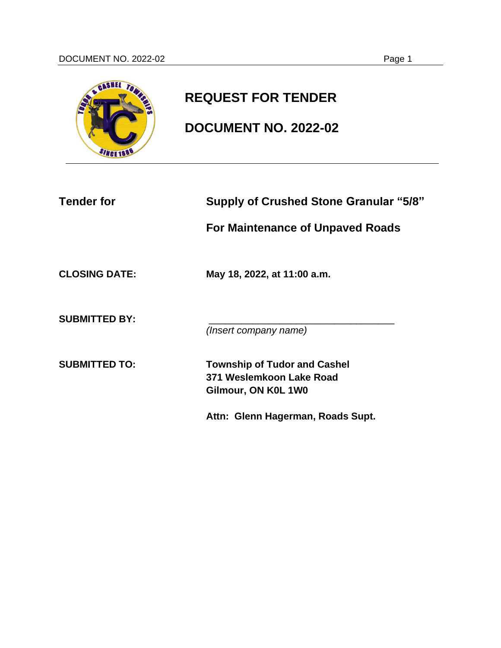

# **REQUEST FOR TENDER**

**DOCUMENT NO. 2022-02**

| <b>Tender for</b>    | <b>Supply of Crushed Stone Granular "5/8"</b>                                          |  |
|----------------------|----------------------------------------------------------------------------------------|--|
|                      | <b>For Maintenance of Unpaved Roads</b>                                                |  |
| <b>CLOSING DATE:</b> | May 18, 2022, at 11:00 a.m.                                                            |  |
| <b>SUBMITTED BY:</b> | (Insert company name)                                                                  |  |
| <b>SUBMITTED TO:</b> | <b>Township of Tudor and Cashel</b><br>371 Weslemkoon Lake Road<br>Gilmour, ON K0L 1W0 |  |
|                      | Attn: Glenn Hagerman, Roads Supt.                                                      |  |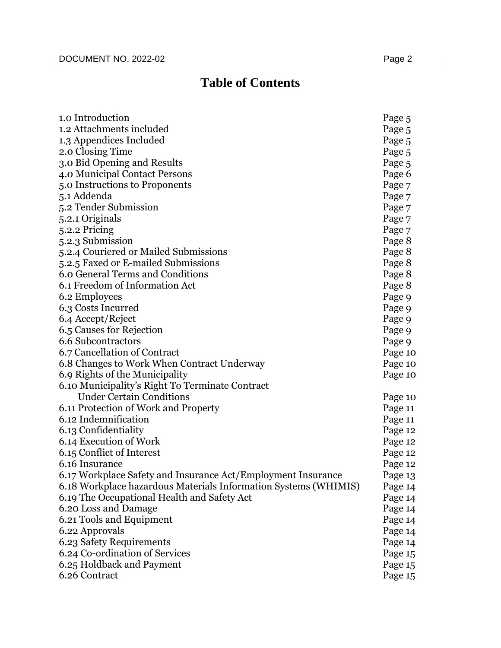| 1.0 Introduction                                                | Page 5  |
|-----------------------------------------------------------------|---------|
| 1.2 Attachments included                                        | Page 5  |
| 1.3 Appendices Included                                         | Page 5  |
| 2.0 Closing Time                                                | Page 5  |
| 3.0 Bid Opening and Results                                     | Page 5  |
| 4.0 Municipal Contact Persons                                   | Page 6  |
| 5.0 Instructions to Proponents                                  | Page 7  |
| 5.1 Addenda                                                     | Page 7  |
| 5.2 Tender Submission                                           | Page 7  |
| 5.2.1 Originals                                                 | Page 7  |
| 5.2.2 Pricing                                                   | Page 7  |
| 5.2.3 Submission                                                | Page 8  |
| 5.2.4 Couriered or Mailed Submissions                           | Page 8  |
| 5.2.5 Faxed or E-mailed Submissions                             | Page 8  |
| 6.0 General Terms and Conditions                                | Page 8  |
| 6.1 Freedom of Information Act                                  | Page 8  |
| 6.2 Employees                                                   | Page 9  |
| 6.3 Costs Incurred                                              | Page 9  |
| 6.4 Accept/Reject                                               | Page 9  |
| 6.5 Causes for Rejection                                        | Page 9  |
| 6.6 Subcontractors                                              | Page 9  |
| 6.7 Cancellation of Contract                                    | Page 10 |
| 6.8 Changes to Work When Contract Underway                      | Page 10 |
| 6.9 Rights of the Municipality                                  | Page 10 |
| 6.10 Municipality's Right To Terminate Contract                 |         |
| <b>Under Certain Conditions</b>                                 | Page 10 |
| 6.11 Protection of Work and Property                            | Page 11 |
| 6.12 Indemnification                                            | Page 11 |
| 6.13 Confidentiality                                            | Page 12 |
| 6.14 Execution of Work                                          | Page 12 |
| 6.15 Conflict of Interest                                       | Page 12 |
| 6.16 Insurance                                                  | Page 12 |
| 6.17 Workplace Safety and Insurance Act/Employment Insurance    | Page 13 |
| 6.18 Workplace hazardous Materials Information Systems (WHIMIS) | Page 14 |
| 6.19 The Occupational Health and Safety Act                     | Page 14 |
| 6.20 Loss and Damage                                            | Page 14 |
| 6.21 Tools and Equipment                                        | Page 14 |
| 6.22 Approvals                                                  | Page 14 |
| 6.23 Safety Requirements                                        | Page 14 |
| 6.24 Co-ordination of Services                                  | Page 15 |
| 6.25 Holdback and Payment                                       | Page 15 |
| 6.26 Contract                                                   | Page 15 |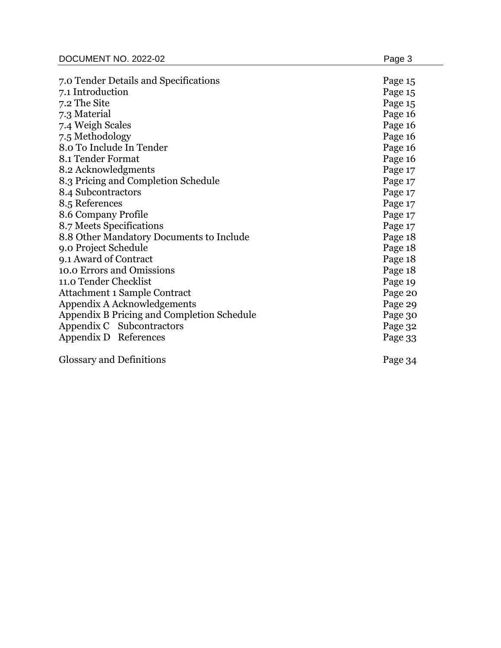| DOCUMENT NO. 2022-02                       | Page 3  |
|--------------------------------------------|---------|
|                                            |         |
| 7.0 Tender Details and Specifications      | Page 15 |
| 7.1 Introduction                           | Page 15 |
| 7.2 The Site                               | Page 15 |
| 7.3 Material                               | Page 16 |
| 7.4 Weigh Scales                           | Page 16 |
| 7.5 Methodology                            | Page 16 |
| 8.0 To Include In Tender                   | Page 16 |
| 8.1 Tender Format                          | Page 16 |
| 8.2 Acknowledgments                        | Page 17 |
| 8.3 Pricing and Completion Schedule        | Page 17 |
| 8.4 Subcontractors                         | Page 17 |
| 8.5 References                             | Page 17 |
| 8.6 Company Profile                        | Page 17 |
| 8.7 Meets Specifications                   | Page 17 |
| 8.8 Other Mandatory Documents to Include   | Page 18 |
| 9.0 Project Schedule                       | Page 18 |
| 9.1 Award of Contract                      | Page 18 |
| 10.0 Errors and Omissions                  | Page 18 |
| 11.0 Tender Checklist                      | Page 19 |
| <b>Attachment 1 Sample Contract</b>        | Page 20 |
| Appendix A Acknowledgements                | Page 29 |
| Appendix B Pricing and Completion Schedule | Page 30 |
| Appendix C Subcontractors                  | Page 32 |
| Appendix D References                      | Page 33 |
|                                            |         |

Glossary and Definitions

3 4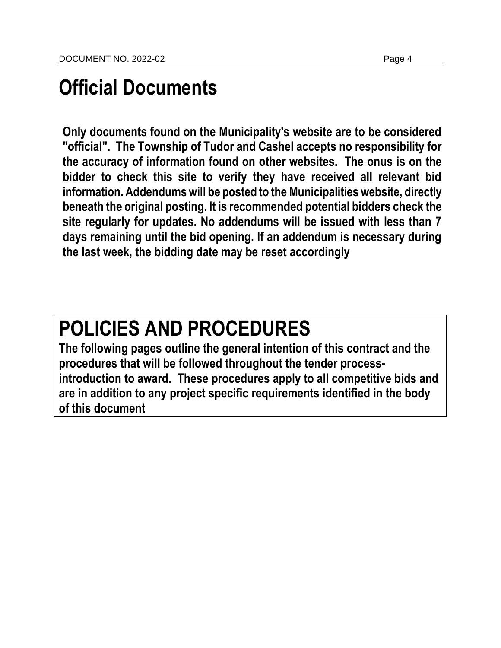# **Official Documents**

**Only documents found on the Municipality's website are to be considered "official". The Township of Tudor and Cashel accepts no responsibility for the accuracy of information found on other websites. The onus is on the bidder to check this site to verify they have received all relevant bid information. Addendums will be posted to the Municipalities website, directly beneath the original posting. It is recommended potential bidders check the site regularly for updates. No addendums will be issued with less than 7 days remaining until the bid opening. If an addendum is necessary during the last week, the bidding date may be reset accordingly**

# **POLICIES AND PROCEDURES**

**The following pages outline the general intention of this contract and the procedures that will be followed throughout the tender processintroduction to award. These procedures apply to all competitive bids and are in addition to any project specific requirements identified in the body of this document**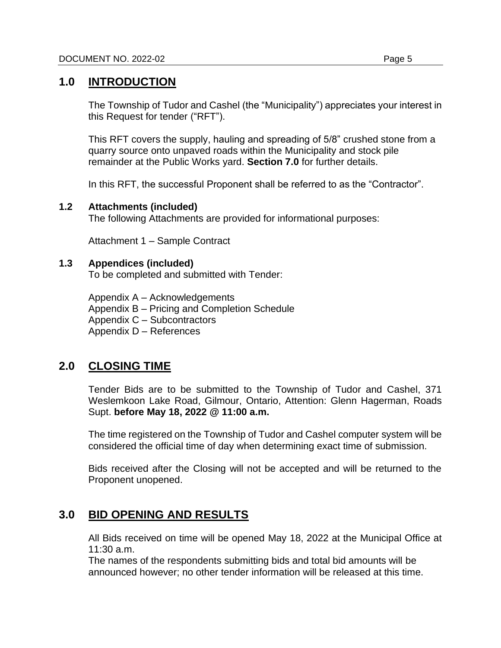## **1.0 INTRODUCTION**

The Township of Tudor and Cashel (the "Municipality") appreciates your interest in this Request for tender ("RFT").

This RFT covers the supply, hauling and spreading of 5/8" crushed stone from a quarry source onto unpaved roads within the Municipality and stock pile remainder at the Public Works yard. **Section 7.0** for further details.

In this RFT, the successful Proponent shall be referred to as the "Contractor".

#### **1.2 Attachments (included)**

The following Attachments are provided for informational purposes:

Attachment 1 – Sample Contract

#### **1.3 Appendices (included)**

To be completed and submitted with Tender:

Appendix A – Acknowledgements Appendix B – Pricing and Completion Schedule Appendix C – Subcontractors Appendix D – References

# **2.0 CLOSING TIME**

Tender Bids are to be submitted to the Township of Tudor and Cashel, 371 Weslemkoon Lake Road, Gilmour, Ontario, Attention: Glenn Hagerman, Roads Supt. **before May 18, 2022 @ 11:00 a.m.**

The time registered on the Township of Tudor and Cashel computer system will be considered the official time of day when determining exact time of submission.

Bids received after the Closing will not be accepted and will be returned to the Proponent unopened.

# **3.0 BID OPENING AND RESULTS**

All Bids received on time will be opened May 18, 2022 at the Municipal Office at 11:30 a.m.

The names of the respondents submitting bids and total bid amounts will be announced however; no other tender information will be released at this time.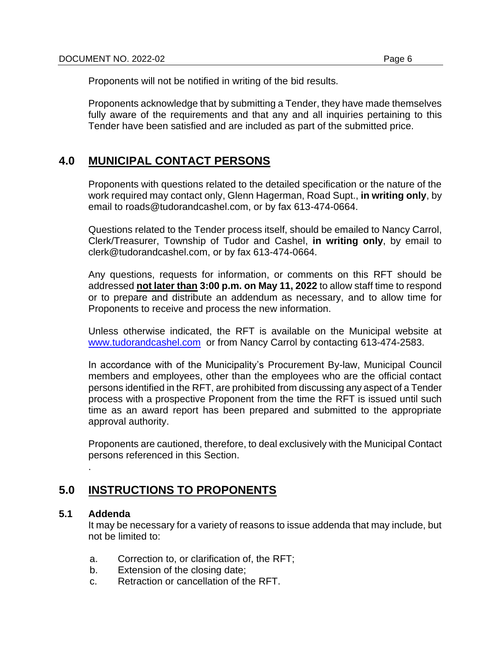Proponents will not be notified in writing of the bid results.

Proponents acknowledge that by submitting a Tender, they have made themselves fully aware of the requirements and that any and all inquiries pertaining to this Tender have been satisfied and are included as part of the submitted price.

# **4.0 MUNICIPAL CONTACT PERSONS**

Proponents with questions related to the detailed specification or the nature of the work required may contact only, Glenn Hagerman, Road Supt., **in writing only**, by email to roads@tudorandcashel.com, or by fax 613-474-0664.

Questions related to the Tender process itself, should be emailed to Nancy Carrol, Clerk/Treasurer, Township of Tudor and Cashel, **in writing only**, by email to clerk@tudorandcashel.com, or by fax 613-474-0664.

Any questions, requests for information, or comments on this RFT should be addressed **not later than 3:00 p.m. on May 11, 2022** to allow staff time to respond or to prepare and distribute an addendum as necessary, and to allow time for Proponents to receive and process the new information.

Unless otherwise indicated, the RFT is available on the Municipal website at [www.tudorandcashel.com](http://www.tudorandcashel.com/) or from Nancy Carrol by contacting 613-474-2583.

In accordance with of the Municipality's Procurement By-law, Municipal Council members and employees, other than the employees who are the official contact persons identified in the RFT, are prohibited from discussing any aspect of a Tender process with a prospective Proponent from the time the RFT is issued until such time as an award report has been prepared and submitted to the appropriate approval authority.

Proponents are cautioned, therefore, to deal exclusively with the Municipal Contact persons referenced in this Section.

# **5.0 INSTRUCTIONS TO PROPONENTS**

#### **5.1 Addenda**

.

It may be necessary for a variety of reasons to issue addenda that may include, but not be limited to:

- a. Correction to, or clarification of, the RFT;
- b. Extension of the closing date;
- c. Retraction or cancellation of the RFT.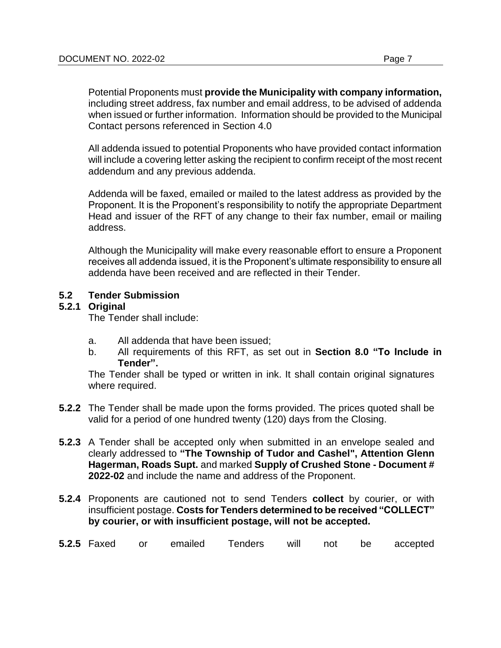Potential Proponents must **provide the Municipality with company information,**  including street address, fax number and email address, to be advised of addenda when issued or further information. Information should be provided to the Municipal Contact persons referenced in Section 4.0

All addenda issued to potential Proponents who have provided contact information will include a covering letter asking the recipient to confirm receipt of the most recent addendum and any previous addenda.

Addenda will be faxed, emailed or mailed to the latest address as provided by the Proponent. It is the Proponent's responsibility to notify the appropriate Department Head and issuer of the RFT of any change to their fax number, email or mailing address.

Although the Municipality will make every reasonable effort to ensure a Proponent receives all addenda issued, it is the Proponent's ultimate responsibility to ensure all addenda have been received and are reflected in their Tender.

#### **5.2 Tender Submission**

#### **5.2.1 Original**

The Tender shall include:

- a. All addenda that have been issued;
- b. All requirements of this RFT, as set out in **Section 8.0 "To Include in Tender".**

The Tender shall be typed or written in ink. It shall contain original signatures where required.

- **5.2.2** The Tender shall be made upon the forms provided. The prices quoted shall be valid for a period of one hundred twenty (120) days from the Closing.
- **5.2.3** A Tender shall be accepted only when submitted in an envelope sealed and clearly addressed to **"The Township of Tudor and Cashel", Attention Glenn Hagerman, Roads Supt.** and marked **Supply of Crushed Stone - Document # 2022-02** and include the name and address of the Proponent.
- **5.2.4** Proponents are cautioned not to send Tenders **collect** by courier, or with insufficient postage. **Costs for Tenders determined to be received "COLLECT" by courier, or with insufficient postage, will not be accepted.**

| <b>5.2.5 Faxed</b><br>Tenders will not be accepted<br>or emailed |  |
|------------------------------------------------------------------|--|
|------------------------------------------------------------------|--|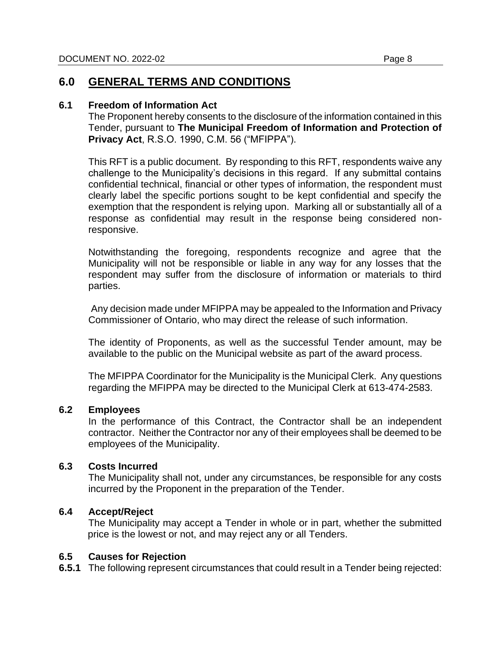## **6.0 GENERAL TERMS AND CONDITIONS**

#### **6.1 Freedom of Information Act**

The Proponent hereby consents to the disclosure of the information contained in this Tender, pursuant to **The Municipal Freedom of Information and Protection of Privacy Act**, R.S.O. 1990, C.M. 56 ("MFIPPA").

This RFT is a public document. By responding to this RFT, respondents waive any challenge to the Municipality's decisions in this regard. If any submittal contains confidential technical, financial or other types of information, the respondent must clearly label the specific portions sought to be kept confidential and specify the exemption that the respondent is relying upon. Marking all or substantially all of a response as confidential may result in the response being considered nonresponsive.

Notwithstanding the foregoing, respondents recognize and agree that the Municipality will not be responsible or liable in any way for any losses that the respondent may suffer from the disclosure of information or materials to third parties.

Any decision made under MFIPPA may be appealed to the Information and Privacy Commissioner of Ontario, who may direct the release of such information.

The identity of Proponents, as well as the successful Tender amount, may be available to the public on the Municipal website as part of the award process.

The MFIPPA Coordinator for the Municipality is the Municipal Clerk. Any questions regarding the MFIPPA may be directed to the Municipal Clerk at 613-474-2583.

#### **6.2 Employees**

In the performance of this Contract, the Contractor shall be an independent contractor. Neither the Contractor nor any of their employees shall be deemed to be employees of the Municipality.

#### **6.3 Costs Incurred**

The Municipality shall not, under any circumstances, be responsible for any costs incurred by the Proponent in the preparation of the Tender.

#### **6.4 Accept/Reject**

The Municipality may accept a Tender in whole or in part, whether the submitted price is the lowest or not, and may reject any or all Tenders.

#### **6.5 Causes for Rejection**

**6.5.1** The following represent circumstances that could result in a Tender being rejected: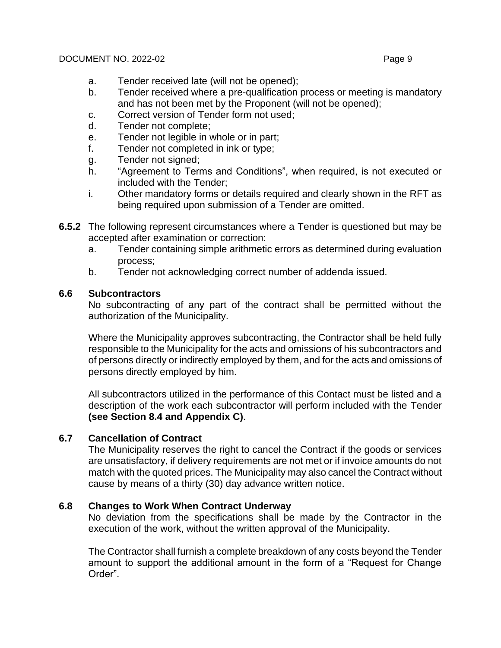- a. Tender received late (will not be opened);
- b. Tender received where a pre-qualification process or meeting is mandatory and has not been met by the Proponent (will not be opened);
- c. Correct version of Tender form not used;
- d. Tender not complete;
- e. Tender not legible in whole or in part;
- f. Tender not completed in ink or type;
- g. Tender not signed;
- h. "Agreement to Terms and Conditions", when required, is not executed or included with the Tender;
- i. Other mandatory forms or details required and clearly shown in the RFT as being required upon submission of a Tender are omitted.
- **6.5.2** The following represent circumstances where a Tender is questioned but may be accepted after examination or correction:
	- a. Tender containing simple arithmetic errors as determined during evaluation process;
	- b. Tender not acknowledging correct number of addenda issued.

#### **6.6 Subcontractors**

No subcontracting of any part of the contract shall be permitted without the authorization of the Municipality.

Where the Municipality approves subcontracting, the Contractor shall be held fully responsible to the Municipality for the acts and omissions of his subcontractors and of persons directly or indirectly employed by them, and for the acts and omissions of persons directly employed by him.

All subcontractors utilized in the performance of this Contact must be listed and a description of the work each subcontractor will perform included with the Tender **(see Section 8.4 and Appendix C)**.

#### **6.7 Cancellation of Contract**

The Municipality reserves the right to cancel the Contract if the goods or services are unsatisfactory, if delivery requirements are not met or if invoice amounts do not match with the quoted prices. The Municipality may also cancel the Contract without cause by means of a thirty (30) day advance written notice.

#### **6.8 Changes to Work When Contract Underway**

No deviation from the specifications shall be made by the Contractor in the execution of the work, without the written approval of the Municipality.

The Contractor shall furnish a complete breakdown of any costs beyond the Tender amount to support the additional amount in the form of a "Request for Change Order".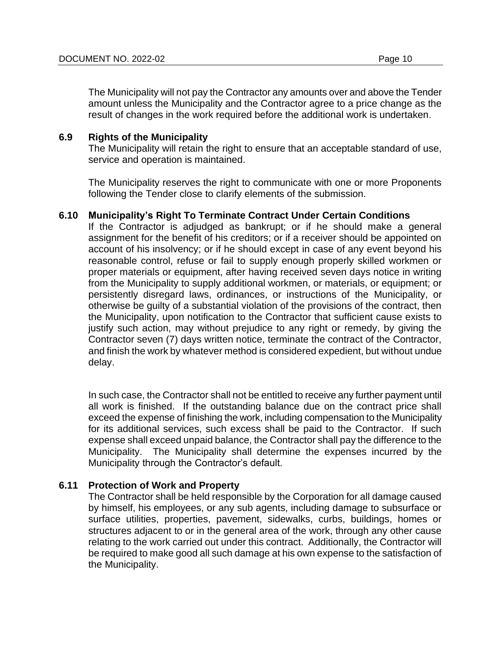The Municipality will not pay the Contractor any amounts over and above the Tender amount unless the Municipality and the Contractor agree to a price change as the result of changes in the work required before the additional work is undertaken.

#### **6.9 Rights of the Municipality**

The Municipality will retain the right to ensure that an acceptable standard of use, service and operation is maintained.

The Municipality reserves the right to communicate with one or more Proponents following the Tender close to clarify elements of the submission.

#### **6.10 Municipality's Right To Terminate Contract Under Certain Conditions**

If the Contractor is adjudged as bankrupt; or if he should make a general assignment for the benefit of his creditors; or if a receiver should be appointed on account of his insolvency; or if he should except in case of any event beyond his reasonable control, refuse or fail to supply enough properly skilled workmen or proper materials or equipment, after having received seven days notice in writing from the Municipality to supply additional workmen, or materials, or equipment; or persistently disregard laws, ordinances, or instructions of the Municipality, or otherwise be guilty of a substantial violation of the provisions of the contract, then the Municipality, upon notification to the Contractor that sufficient cause exists to justify such action, may without prejudice to any right or remedy, by giving the Contractor seven (7) days written notice, terminate the contract of the Contractor, and finish the work by whatever method is considered expedient, but without undue delay.

In such case, the Contractor shall not be entitled to receive any further payment until all work is finished. If the outstanding balance due on the contract price shall exceed the expense of finishing the work, including compensation to the Municipality for its additional services, such excess shall be paid to the Contractor. If such expense shall exceed unpaid balance, the Contractor shall pay the difference to the Municipality. The Municipality shall determine the expenses incurred by the Municipality through the Contractor's default.

#### **6.11 Protection of Work and Property**

The Contractor shall be held responsible by the Corporation for all damage caused by himself, his employees, or any sub agents, including damage to subsurface or surface utilities, properties, pavement, sidewalks, curbs, buildings, homes or structures adjacent to or in the general area of the work, through any other cause relating to the work carried out under this contract. Additionally, the Contractor will be required to make good all such damage at his own expense to the satisfaction of the Municipality.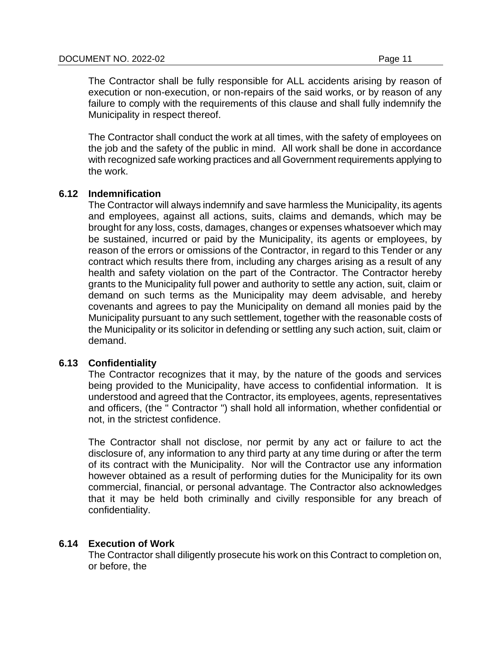The Contractor shall be fully responsible for ALL accidents arising by reason of execution or non-execution, or non-repairs of the said works, or by reason of any failure to comply with the requirements of this clause and shall fully indemnify the Municipality in respect thereof.

The Contractor shall conduct the work at all times, with the safety of employees on the job and the safety of the public in mind. All work shall be done in accordance with recognized safe working practices and all Government requirements applying to the work.

#### **6.12 Indemnification**

The Contractor will always indemnify and save harmless the Municipality, its agents and employees, against all actions, suits, claims and demands, which may be brought for any loss, costs, damages, changes or expenses whatsoever which may be sustained, incurred or paid by the Municipality, its agents or employees, by reason of the errors or omissions of the Contractor, in regard to this Tender or any contract which results there from, including any charges arising as a result of any health and safety violation on the part of the Contractor. The Contractor hereby grants to the Municipality full power and authority to settle any action, suit, claim or demand on such terms as the Municipality may deem advisable, and hereby covenants and agrees to pay the Municipality on demand all monies paid by the Municipality pursuant to any such settlement, together with the reasonable costs of the Municipality or its solicitor in defending or settling any such action, suit, claim or demand.

#### **6.13 Confidentiality**

The Contractor recognizes that it may, by the nature of the goods and services being provided to the Municipality, have access to confidential information. It is understood and agreed that the Contractor, its employees, agents, representatives and officers, (the " Contractor ") shall hold all information, whether confidential or not, in the strictest confidence.

The Contractor shall not disclose, nor permit by any act or failure to act the disclosure of, any information to any third party at any time during or after the term of its contract with the Municipality. Nor will the Contractor use any information however obtained as a result of performing duties for the Municipality for its own commercial, financial, or personal advantage. The Contractor also acknowledges that it may be held both criminally and civilly responsible for any breach of confidentiality.

#### **6.14 Execution of Work**

The Contractor shall diligently prosecute his work on this Contract to completion on, or before, the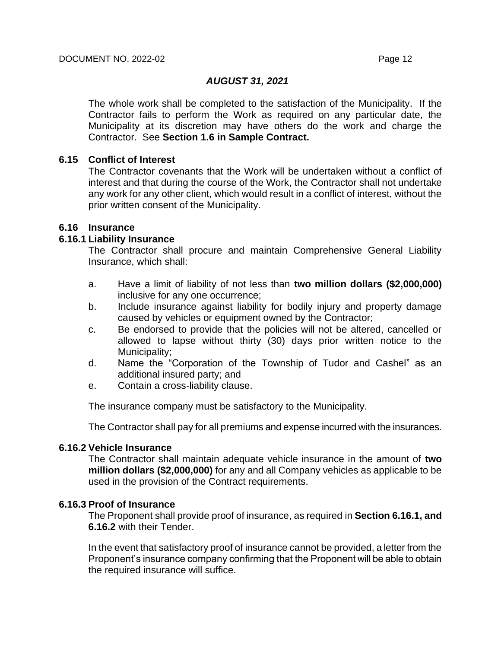#### *AUGUST 31, 2021*

The whole work shall be completed to the satisfaction of the Municipality. If the Contractor fails to perform the Work as required on any particular date, the Municipality at its discretion may have others do the work and charge the Contractor. See **Section 1.6 in Sample Contract.**

#### **6.15 Conflict of Interest**

The Contractor covenants that the Work will be undertaken without a conflict of interest and that during the course of the Work, the Contractor shall not undertake any work for any other client, which would result in a conflict of interest, without the prior written consent of the Municipality.

#### **6.16 Insurance**

#### **6.16.1 Liability Insurance**

The Contractor shall procure and maintain Comprehensive General Liability Insurance, which shall:

- a. Have a limit of liability of not less than **two million dollars (\$2,000,000)** inclusive for any one occurrence;
- b. Include insurance against liability for bodily injury and property damage caused by vehicles or equipment owned by the Contractor;
- c. Be endorsed to provide that the policies will not be altered, cancelled or allowed to lapse without thirty (30) days prior written notice to the Municipality;
- d. Name the "Corporation of the Township of Tudor and Cashel" as an additional insured party; and
- e. Contain a cross-liability clause.

The insurance company must be satisfactory to the Municipality.

The Contractor shall pay for all premiums and expense incurred with the insurances.

#### **6.16.2 Vehicle Insurance**

The Contractor shall maintain adequate vehicle insurance in the amount of **two million dollars (\$2,000,000)** for any and all Company vehicles as applicable to be used in the provision of the Contract requirements.

#### **6.16.3 Proof of Insurance**

The Proponent shall provide proof of insurance, as required in **Section 6.16.1, and 6.16.2** with their Tender.

In the event that satisfactory proof of insurance cannot be provided, a letter from the Proponent's insurance company confirming that the Proponent will be able to obtain the required insurance will suffice.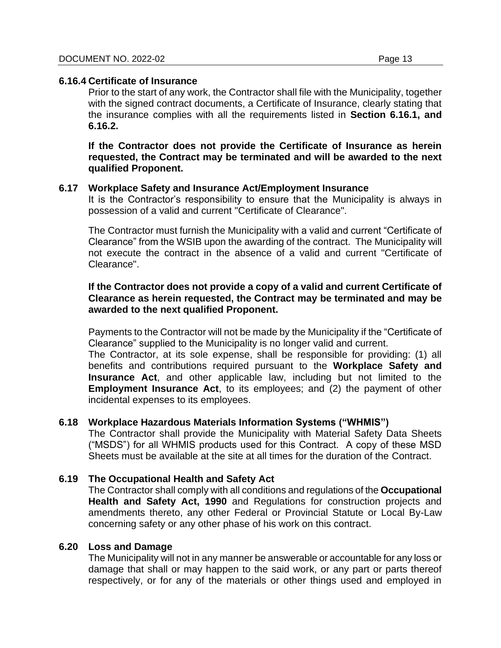#### **6.16.4 Certificate of Insurance**

Prior to the start of any work, the Contractor shall file with the Municipality, together with the signed contract documents, a Certificate of Insurance, clearly stating that the insurance complies with all the requirements listed in **Section 6.16.1, and 6.16.2.**

**If the Contractor does not provide the Certificate of Insurance as herein requested, the Contract may be terminated and will be awarded to the next qualified Proponent.**

#### **6.17 Workplace Safety and Insurance Act/Employment Insurance**

It is the Contractor's responsibility to ensure that the Municipality is always in possession of a valid and current "Certificate of Clearance".

The Contractor must furnish the Municipality with a valid and current "Certificate of Clearance" from the WSIB upon the awarding of the contract. The Municipality will not execute the contract in the absence of a valid and current "Certificate of Clearance".

#### **If the Contractor does not provide a copy of a valid and current Certificate of Clearance as herein requested, the Contract may be terminated and may be awarded to the next qualified Proponent.**

Payments to the Contractor will not be made by the Municipality if the "Certificate of Clearance" supplied to the Municipality is no longer valid and current.

The Contractor, at its sole expense, shall be responsible for providing: (1) all benefits and contributions required pursuant to the **Workplace Safety and Insurance Act**, and other applicable law, including but not limited to the **Employment Insurance Act**, to its employees; and (2) the payment of other incidental expenses to its employees.

#### **6.18 Workplace Hazardous Materials Information Systems ("WHMIS")**

The Contractor shall provide the Municipality with Material Safety Data Sheets ("MSDS") for all WHMIS products used for this Contract. A copy of these MSD Sheets must be available at the site at all times for the duration of the Contract.

#### **6.19 The Occupational Health and Safety Act**

The Contractor shall comply with all conditions and regulations of the **Occupational Health and Safety Act, 1990** and Regulations for construction projects and amendments thereto, any other Federal or Provincial Statute or Local By-Law concerning safety or any other phase of his work on this contract.

#### **6.20 Loss and Damage**

The Municipality will not in any manner be answerable or accountable for any loss or damage that shall or may happen to the said work, or any part or parts thereof respectively, or for any of the materials or other things used and employed in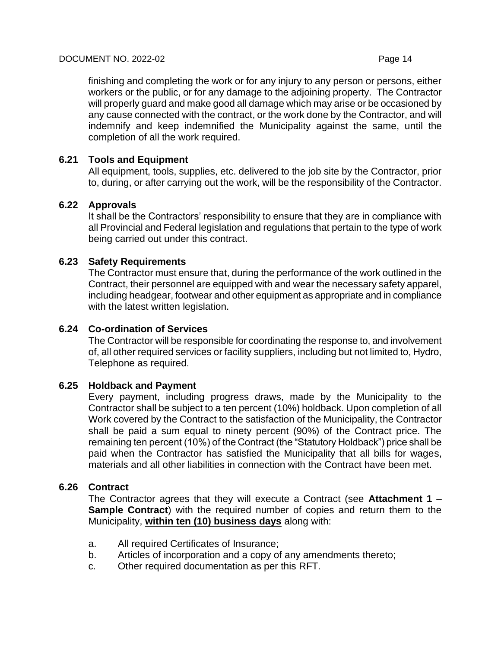finishing and completing the work or for any injury to any person or persons, either workers or the public, or for any damage to the adjoining property. The Contractor will properly guard and make good all damage which may arise or be occasioned by any cause connected with the contract, or the work done by the Contractor, and will indemnify and keep indemnified the Municipality against the same, until the completion of all the work required.

#### **6.21 Tools and Equipment**

All equipment, tools, supplies, etc. delivered to the job site by the Contractor, prior to, during, or after carrying out the work, will be the responsibility of the Contractor.

#### **6.22 Approvals**

It shall be the Contractors' responsibility to ensure that they are in compliance with all Provincial and Federal legislation and regulations that pertain to the type of work being carried out under this contract.

#### **6.23 Safety Requirements**

The Contractor must ensure that, during the performance of the work outlined in the Contract, their personnel are equipped with and wear the necessary safety apparel, including headgear, footwear and other equipment as appropriate and in compliance with the latest written legislation.

#### **6.24 Co-ordination of Services**

The Contractor will be responsible for coordinating the response to, and involvement of, all other required services or facility suppliers, including but not limited to, Hydro, Telephone as required.

#### **6.25 Holdback and Payment**

Every payment, including progress draws, made by the Municipality to the Contractor shall be subject to a ten percent (10%) holdback. Upon completion of all Work covered by the Contract to the satisfaction of the Municipality, the Contractor shall be paid a sum equal to ninety percent (90%) of the Contract price. The remaining ten percent (10%) of the Contract (the "Statutory Holdback") price shall be paid when the Contractor has satisfied the Municipality that all bills for wages, materials and all other liabilities in connection with the Contract have been met.

#### **6.26 Contract**

The Contractor agrees that they will execute a Contract (see **Attachment 1** – **Sample Contract**) with the required number of copies and return them to the Municipality, **within ten (10) business days** along with:

- a. All required Certificates of Insurance;
- b. Articles of incorporation and a copy of any amendments thereto;
- c. Other required documentation as per this RFT.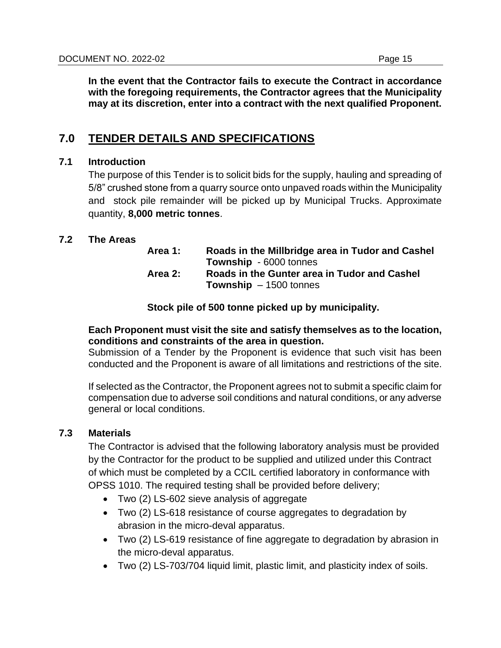**In the event that the Contractor fails to execute the Contract in accordance with the foregoing requirements, the Contractor agrees that the Municipality may at its discretion, enter into a contract with the next qualified Proponent.**

# **7.0 TENDER DETAILS AND SPECIFICATIONS**

#### **7.1 Introduction**

The purpose of this Tender is to solicit bids for the supply, hauling and spreading of 5/8" crushed stone from a quarry source onto unpaved roads within the Municipality and stock pile remainder will be picked up by Municipal Trucks. Approximate quantity, **8,000 metric tonnes**.

#### **7.2 The Areas**

| Area 1: | Roads in the Millbridge area in Tudor and Cashel |
|---------|--------------------------------------------------|
|         | <b>Township</b> - 6000 tonnes                    |
| Area 2: | Roads in the Gunter area in Tudor and Cashel     |
|         | <b>Township</b> $-1500$ tonnes                   |

#### **Stock pile of 500 tonne picked up by municipality.**

#### **Each Proponent must visit the site and satisfy themselves as to the location, conditions and constraints of the area in question.**

Submission of a Tender by the Proponent is evidence that such visit has been conducted and the Proponent is aware of all limitations and restrictions of the site.

If selected as the Contractor, the Proponent agrees not to submit a specific claim for compensation due to adverse soil conditions and natural conditions, or any adverse general or local conditions.

#### **7.3 Materials**

The Contractor is advised that the following laboratory analysis must be provided by the Contractor for the product to be supplied and utilized under this Contract of which must be completed by a CCIL certified laboratory in conformance with OPSS 1010. The required testing shall be provided before delivery;

- Two (2) LS-602 sieve analysis of aggregate
- Two (2) LS-618 resistance of course aggregates to degradation by abrasion in the micro-deval apparatus.
- Two (2) LS-619 resistance of fine aggregate to degradation by abrasion in the micro-deval apparatus.
- Two (2) LS-703/704 liquid limit, plastic limit, and plasticity index of soils.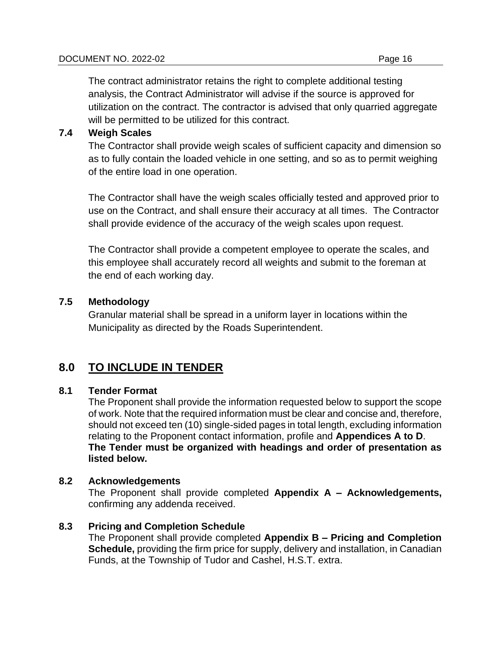The contract administrator retains the right to complete additional testing analysis, the Contract Administrator will advise if the source is approved for utilization on the contract. The contractor is advised that only quarried aggregate will be permitted to be utilized for this contract.

### **7.4 Weigh Scales**

The Contractor shall provide weigh scales of sufficient capacity and dimension so as to fully contain the loaded vehicle in one setting, and so as to permit weighing of the entire load in one operation.

The Contractor shall have the weigh scales officially tested and approved prior to use on the Contract, and shall ensure their accuracy at all times. The Contractor shall provide evidence of the accuracy of the weigh scales upon request.

The Contractor shall provide a competent employee to operate the scales, and this employee shall accurately record all weights and submit to the foreman at the end of each working day.

#### **7.5 Methodology**

Granular material shall be spread in a uniform layer in locations within the Municipality as directed by the Roads Superintendent.

# **8.0 TO INCLUDE IN TENDER**

#### **8.1 Tender Format**

The Proponent shall provide the information requested below to support the scope of work. Note that the required information must be clear and concise and, therefore, should not exceed ten (10) single-sided pages in total length, excluding information relating to the Proponent contact information, profile and **Appendices A to D**. **The Tender must be organized with headings and order of presentation as listed below.**

#### **8.2 Acknowledgements**

The Proponent shall provide completed **Appendix A – Acknowledgements,** confirming any addenda received.

#### **8.3 Pricing and Completion Schedule**

The Proponent shall provide completed **Appendix B – Pricing and Completion Schedule,** providing the firm price for supply, delivery and installation, in Canadian Funds, at the Township of Tudor and Cashel, H.S.T. extra.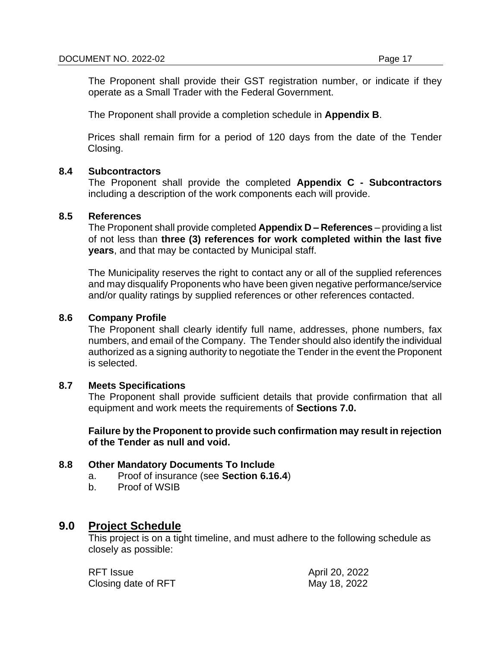The Proponent shall provide their GST registration number, or indicate if they operate as a Small Trader with the Federal Government.

The Proponent shall provide a completion schedule in **Appendix B**.

Prices shall remain firm for a period of 120 days from the date of the Tender Closing.

#### **8.4 Subcontractors**

The Proponent shall provide the completed **Appendix C - Subcontractors** including a description of the work components each will provide.

#### **8.5 References**

The Proponent shall provide completed **Appendix D – References** – providing a list of not less than **three (3) references for work completed within the last five years**, and that may be contacted by Municipal staff.

The Municipality reserves the right to contact any or all of the supplied references and may disqualify Proponents who have been given negative performance/service and/or quality ratings by supplied references or other references contacted.

#### **8.6 Company Profile**

The Proponent shall clearly identify full name, addresses, phone numbers, fax numbers, and email of the Company. The Tender should also identify the individual authorized as a signing authority to negotiate the Tender in the event the Proponent is selected.

#### **8.7 Meets Specifications**

The Proponent shall provide sufficient details that provide confirmation that all equipment and work meets the requirements of **Sections 7.0.**

**Failure by the Proponent to provide such confirmation may result in rejection of the Tender as null and void.**

#### **8.8 Other Mandatory Documents To Include**

- a. Proof of insurance (see **Section 6.16.4**)
- b. Proof of WSIB

#### **9.0 Project Schedule**

This project is on a tight timeline, and must adhere to the following schedule as closely as possible:

RFT Issue **April 20, 2022** Closing date of RFT May 18, 2022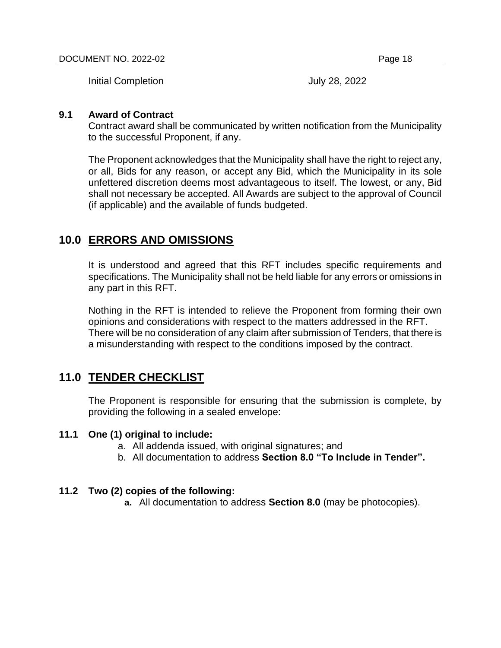Initial Completion **July 28, 2022** 

#### **9.1 Award of Contract**

Contract award shall be communicated by written notification from the Municipality to the successful Proponent, if any.

The Proponent acknowledges that the Municipality shall have the right to reject any, or all, Bids for any reason, or accept any Bid, which the Municipality in its sole unfettered discretion deems most advantageous to itself. The lowest, or any, Bid shall not necessary be accepted. All Awards are subject to the approval of Council (if applicable) and the available of funds budgeted.

# **10.0 ERRORS AND OMISSIONS**

It is understood and agreed that this RFT includes specific requirements and specifications. The Municipality shall not be held liable for any errors or omissions in any part in this RFT.

Nothing in the RFT is intended to relieve the Proponent from forming their own opinions and considerations with respect to the matters addressed in the RFT. There will be no consideration of any claim after submission of Tenders, that there is a misunderstanding with respect to the conditions imposed by the contract.

# **11.0 TENDER CHECKLIST**

The Proponent is responsible for ensuring that the submission is complete, by providing the following in a sealed envelope:

#### **11.1 One (1) original to include:**

- a. All addenda issued, with original signatures; and
- b. All documentation to address **Section 8.0 "To Include in Tender".**

#### **11.2 Two (2) copies of the following:**

**a.** All documentation to address **Section 8.0** (may be photocopies).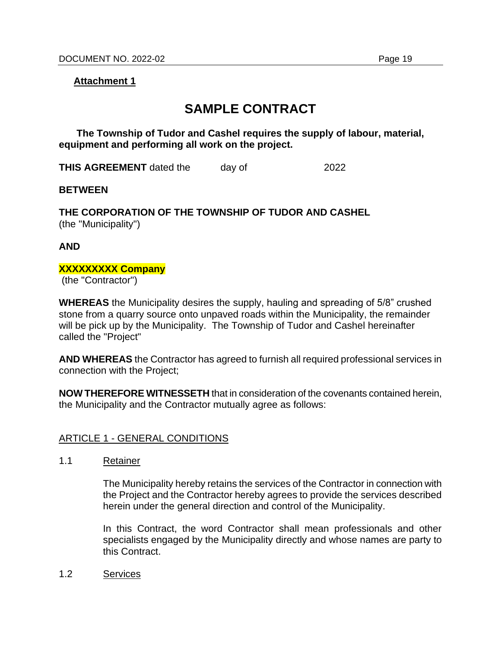#### **Attachment 1**

# **SAMPLE CONTRACT**

**The Township of Tudor and Cashel requires the supply of labour, material, equipment and performing all work on the project.**

**THIS AGREEMENT** dated the day of 2022

**BETWEEN**

**THE CORPORATION OF THE TOWNSHIP OF TUDOR AND CASHEL** (the "Municipality")

#### **AND**

#### **XXXXXXXXX Company**

(the "Contractor")

**WHEREAS** the Municipality desires the supply, hauling and spreading of 5/8" crushed stone from a quarry source onto unpaved roads within the Municipality, the remainder will be pick up by the Municipality. The Township of Tudor and Cashel hereinafter called the "Project"

**AND WHEREAS** the Contractor has agreed to furnish all required professional services in connection with the Project;

**NOW THEREFORE WITNESSETH** that in consideration of the covenants contained herein, the Municipality and the Contractor mutually agree as follows:

#### ARTICLE 1 - GENERAL CONDITIONS

1.1 Retainer

The Municipality hereby retains the services of the Contractor in connection with the Project and the Contractor hereby agrees to provide the services described herein under the general direction and control of the Municipality.

In this Contract, the word Contractor shall mean professionals and other specialists engaged by the Municipality directly and whose names are party to this Contract.

1.2 Services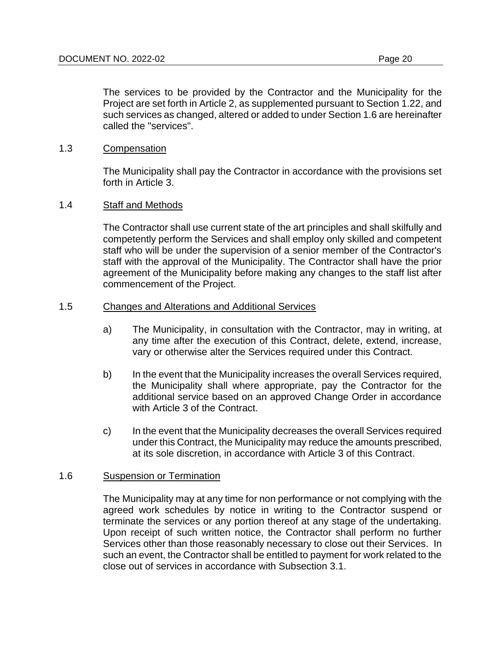The services to be provided by the Contractor and the Municipality for the Project are set forth in Article 2, as supplemented pursuant to Section 1.22, and such services as changed, altered or added to under Section 1.6 are hereinafter called the "services".

#### 1.3 Compensation

The Municipality shall pay the Contractor in accordance with the provisions set forth in Article 3.

#### 1.4 Staff and Methods

The Contractor shall use current state of the art principles and shall skilfully and competently perform the Services and shall employ only skilled and competent staff who will be under the supervision of a senior member of the Contractor's staff with the approval of the Municipality. The Contractor shall have the prior agreement of the Municipality before making any changes to the staff list after commencement of the Project.

#### 1.5 Changes and Alterations and Additional Services

- a) The Municipality, in consultation with the Contractor, may in writing, at any time after the execution of this Contract, delete, extend, increase, vary or otherwise alter the Services required under this Contract.
- b) In the event that the Municipality increases the overall Services required, the Municipality shall where appropriate, pay the Contractor for the additional service based on an approved Change Order in accordance with Article 3 of the Contract.
- c) In the event that the Municipality decreases the overall Services required under this Contract, the Municipality may reduce the amounts prescribed, at its sole discretion, in accordance with Article 3 of this Contract.

#### 1.6 Suspension or Termination

The Municipality may at any time for non performance or not complying with the agreed work schedules by notice in writing to the Contractor suspend or terminate the services or any portion thereof at any stage of the undertaking. Upon receipt of such written notice, the Contractor shall perform no further Services other than those reasonably necessary to close out their Services. In such an event, the Contractor shall be entitled to payment for work related to the close out of services in accordance with Subsection 3.1.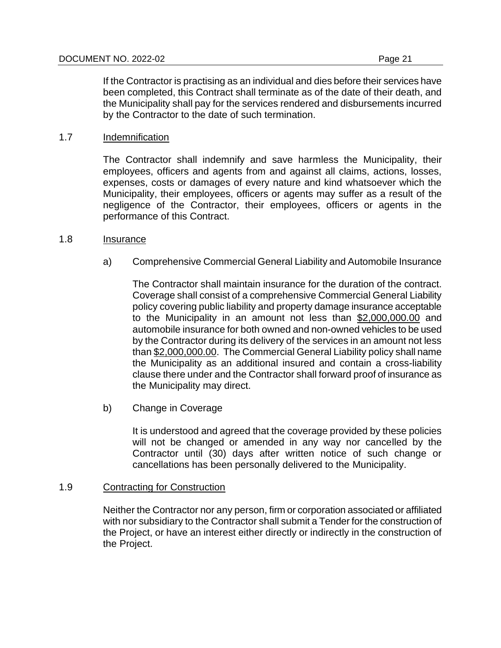If the Contractor is practising as an individual and dies before their services have been completed, this Contract shall terminate as of the date of their death, and the Municipality shall pay for the services rendered and disbursements incurred by the Contractor to the date of such termination.

#### 1.7 Indemnification

The Contractor shall indemnify and save harmless the Municipality, their employees, officers and agents from and against all claims, actions, losses, expenses, costs or damages of every nature and kind whatsoever which the Municipality, their employees, officers or agents may suffer as a result of the negligence of the Contractor, their employees, officers or agents in the performance of this Contract.

#### 1.8 Insurance

a) Comprehensive Commercial General Liability and Automobile Insurance

The Contractor shall maintain insurance for the duration of the contract. Coverage shall consist of a comprehensive Commercial General Liability policy covering public liability and property damage insurance acceptable to the Municipality in an amount not less than \$2,000,000.00 and automobile insurance for both owned and non-owned vehicles to be used by the Contractor during its delivery of the services in an amount not less than \$2,000,000.00. The Commercial General Liability policy shall name the Municipality as an additional insured and contain a cross-liability clause there under and the Contractor shall forward proof of insurance as the Municipality may direct.

b) Change in Coverage

It is understood and agreed that the coverage provided by these policies will not be changed or amended in any way nor cancelled by the Contractor until (30) days after written notice of such change or cancellations has been personally delivered to the Municipality.

#### 1.9 Contracting for Construction

Neither the Contractor nor any person, firm or corporation associated or affiliated with nor subsidiary to the Contractor shall submit a Tender for the construction of the Project, or have an interest either directly or indirectly in the construction of the Project.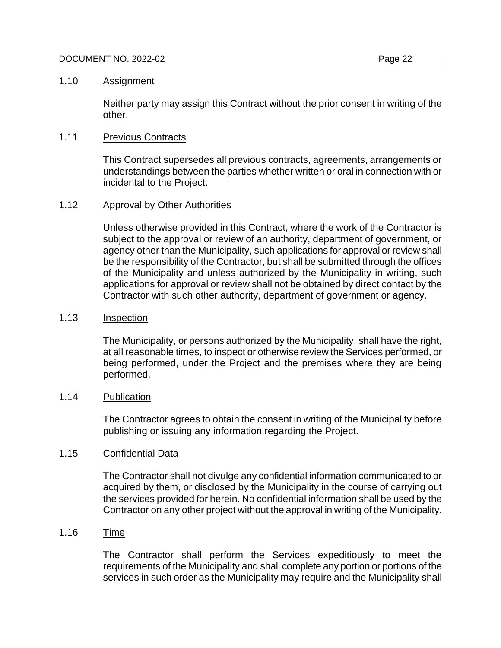#### 1.10 Assignment

Neither party may assign this Contract without the prior consent in writing of the other.

#### 1.11 Previous Contracts

This Contract supersedes all previous contracts, agreements, arrangements or understandings between the parties whether written or oral in connection with or incidental to the Project.

#### 1.12 Approval by Other Authorities

Unless otherwise provided in this Contract, where the work of the Contractor is subject to the approval or review of an authority, department of government, or agency other than the Municipality, such applications for approval or review shall be the responsibility of the Contractor, but shall be submitted through the offices of the Municipality and unless authorized by the Municipality in writing, such applications for approval or review shall not be obtained by direct contact by the Contractor with such other authority, department of government or agency.

#### 1.13 Inspection

The Municipality, or persons authorized by the Municipality, shall have the right, at all reasonable times, to inspect or otherwise review the Services performed, or being performed, under the Project and the premises where they are being performed.

#### 1.14 Publication

The Contractor agrees to obtain the consent in writing of the Municipality before publishing or issuing any information regarding the Project.

#### 1.15 Confidential Data

The Contractor shall not divulge any confidential information communicated to or acquired by them, or disclosed by the Municipality in the course of carrying out the services provided for herein. No confidential information shall be used by the Contractor on any other project without the approval in writing of the Municipality.

#### 1.16 Time

The Contractor shall perform the Services expeditiously to meet the requirements of the Municipality and shall complete any portion or portions of the services in such order as the Municipality may require and the Municipality shall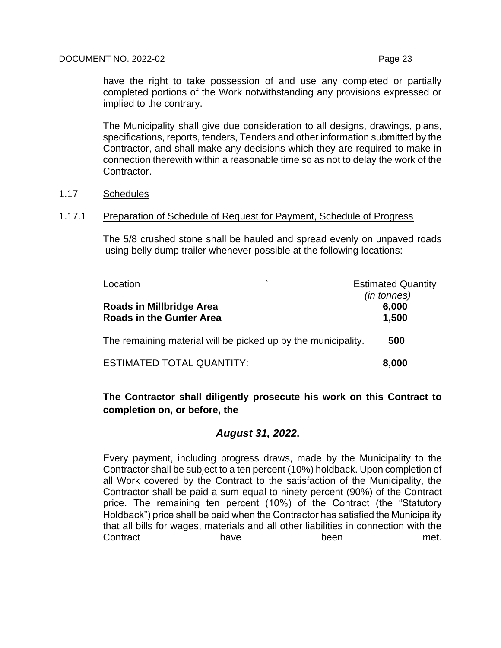have the right to take possession of and use any completed or partially completed portions of the Work notwithstanding any provisions expressed or implied to the contrary.

The Municipality shall give due consideration to all designs, drawings, plans, specifications, reports, tenders, Tenders and other information submitted by the Contractor, and shall make any decisions which they are required to make in connection therewith within a reasonable time so as not to delay the work of the Contractor.

#### 1.17 Schedules

#### 1.17.1 Preparation of Schedule of Request for Payment, Schedule of Progress

The 5/8 crushed stone shall be hauled and spread evenly on unpaved roads using belly dump trailer whenever possible at the following locations:

| Location                                                      | <b>Estimated Quantity</b> |
|---------------------------------------------------------------|---------------------------|
|                                                               | (in tonnes)               |
| Roads in Millbridge Area                                      | 6,000                     |
| <b>Roads in the Gunter Area</b>                               | 1,500                     |
| The remaining material will be picked up by the municipality. | 500                       |
| <b>ESTIMATED TOTAL QUANTITY:</b>                              | 8,000                     |

#### **The Contractor shall diligently prosecute his work on this Contract to completion on, or before, the**

#### *August 31, 2022***.**

Every payment, including progress draws, made by the Municipality to the Contractor shall be subject to a ten percent (10%) holdback. Upon completion of all Work covered by the Contract to the satisfaction of the Municipality, the Contractor shall be paid a sum equal to ninety percent (90%) of the Contract price. The remaining ten percent (10%) of the Contract (the "Statutory Holdback") price shall be paid when the Contractor has satisfied the Municipality that all bills for wages, materials and all other liabilities in connection with the Contract **have** have been met.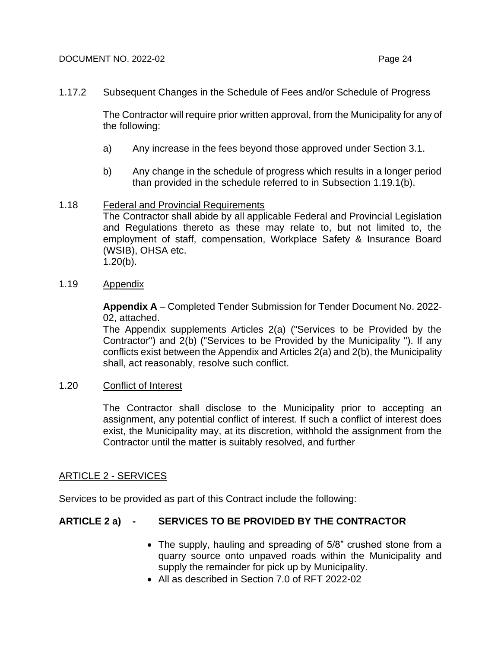#### 1.17.2 Subsequent Changes in the Schedule of Fees and/or Schedule of Progress

The Contractor will require prior written approval, from the Municipality for any of the following:

- a) Any increase in the fees beyond those approved under Section 3.1.
- b) Any change in the schedule of progress which results in a longer period than provided in the schedule referred to in Subsection 1.19.1(b).

#### 1.18 Federal and Provincial Requirements

The Contractor shall abide by all applicable Federal and Provincial Legislation and Regulations thereto as these may relate to, but not limited to, the employment of staff, compensation, Workplace Safety & Insurance Board (WSIB), OHSA etc.

 $1.20(b)$ .

1.19 Appendix

**Appendix A** – Completed Tender Submission for Tender Document No. 2022- 02, attached.

The Appendix supplements Articles 2(a) ("Services to be Provided by the Contractor") and 2(b) ("Services to be Provided by the Municipality "). If any conflicts exist between the Appendix and Articles 2(a) and 2(b), the Municipality shall, act reasonably, resolve such conflict.

#### 1.20 Conflict of Interest

The Contractor shall disclose to the Municipality prior to accepting an assignment, any potential conflict of interest. If such a conflict of interest does exist, the Municipality may, at its discretion, withhold the assignment from the Contractor until the matter is suitably resolved, and further

#### ARTICLE 2 - SERVICES

Services to be provided as part of this Contract include the following:

#### **ARTICLE 2 a) - SERVICES TO BE PROVIDED BY THE CONTRACTOR**

- The supply, hauling and spreading of 5/8" crushed stone from a quarry source onto unpaved roads within the Municipality and supply the remainder for pick up by Municipality.
- All as described in Section 7.0 of RFT 2022-02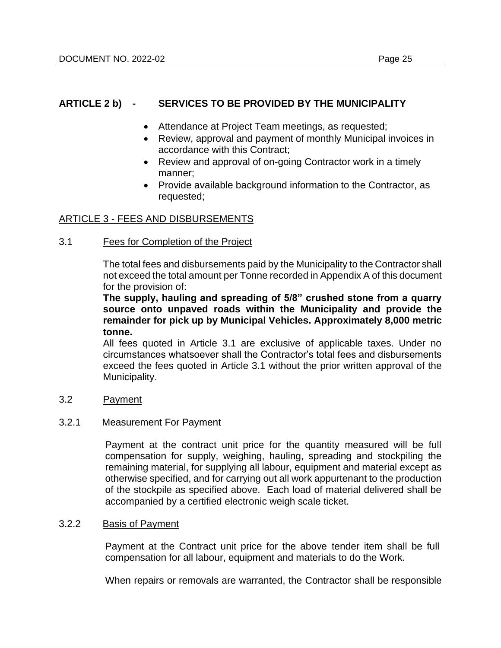#### **ARTICLE 2 b) - SERVICES TO BE PROVIDED BY THE MUNICIPALITY**

- Attendance at Project Team meetings, as requested;
- Review, approval and payment of monthly Municipal invoices in accordance with this Contract;
- Review and approval of on-going Contractor work in a timely manner;
- Provide available background information to the Contractor, as requested;

#### ARTICLE 3 - FEES AND DISBURSEMENTS

3.1 Fees for Completion of the Project

The total fees and disbursements paid by the Municipality to the Contractor shall not exceed the total amount per Tonne recorded in Appendix A of this document for the provision of:

**The supply, hauling and spreading of 5/8" crushed stone from a quarry source onto unpaved roads within the Municipality and provide the remainder for pick up by Municipal Vehicles. Approximately 8,000 metric tonne.**

All fees quoted in Article 3.1 are exclusive of applicable taxes. Under no circumstances whatsoever shall the Contractor's total fees and disbursements exceed the fees quoted in Article 3.1 without the prior written approval of the Municipality.

#### 3.2 Payment

#### 3.2.1 Measurement For Payment

Payment at the contract unit price for the quantity measured will be full compensation for supply, weighing, hauling, spreading and stockpiling the remaining material, for supplying all labour, equipment and material except as otherwise specified, and for carrying out all work appurtenant to the production of the stockpile as specified above. Each load of material delivered shall be accompanied by a certified electronic weigh scale ticket.

#### 3.2.2 Basis of Payment

Payment at the Contract unit price for the above tender item shall be full compensation for all labour, equipment and materials to do the Work.

When repairs or removals are warranted, the Contractor shall be responsible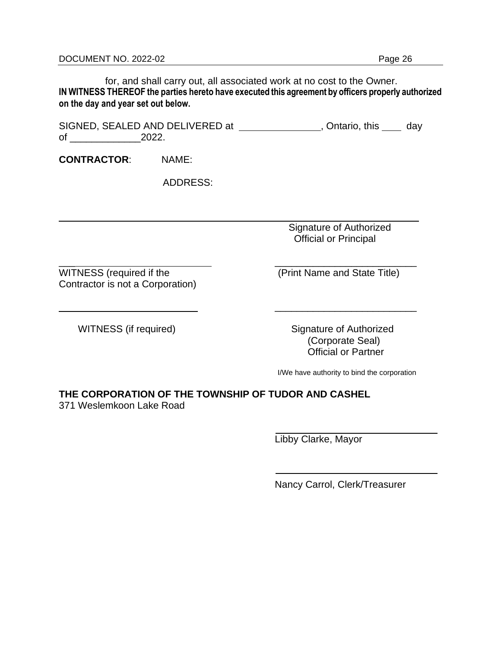for, and shall carry out, all associated work at no cost to the Owner. **IN WITNESS THEREOF the parties hereto have executed this agreement by officers properly authorized on the day and year set out below.**

SIGNED, SEALED AND DELIVERED at \_\_\_\_\_\_\_\_\_\_\_\_\_\_, Ontario, this day of \_\_\_\_\_\_\_\_\_\_\_\_\_2022.

\_\_\_\_\_\_\_\_\_\_\_\_\_\_\_\_\_\_\_\_\_\_\_\_\_\_

**CONTRACTOR**: NAME:

ADDRESS:

 $\mathcal{L}_\text{max}$  , and the set of the set of the set of the set of the set of the set of the set of the set of the set of the set of the set of the set of the set of the set of the set of the set of the set of the set of the Signature of Authorized Official or Principal

WITNESS (required if the  $(Print Name and State Title)$ ) Contractor is not a Corporation)

\_\_\_ \_\_\_\_\_\_\_\_\_\_\_\_\_\_\_\_\_\_\_\_\_\_\_\_\_\_

WITNESS (if required) Signature of Authorized (Corporate Seal) Official or Partner

I/We have authority to bind the corporation

#### **THE CORPORATION OF THE TOWNSHIP OF TUDOR AND CASHEL**

371 Weslemkoon Lake Road

Libby Clarke, Mayor

Nancy Carrol, Clerk/Treasurer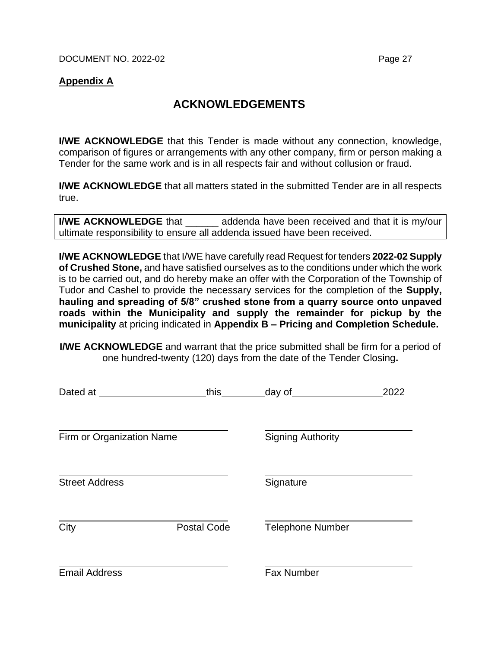#### **Appendix A**

# **ACKNOWLEDGEMENTS**

**I/WE ACKNOWLEDGE** that this Tender is made without any connection, knowledge, comparison of figures or arrangements with any other company, firm or person making a Tender for the same work and is in all respects fair and without collusion or fraud.

**I/WE ACKNOWLEDGE** that all matters stated in the submitted Tender are in all respects true.

**I/WE ACKNOWLEDGE** that addenda have been received and that it is my/our ultimate responsibility to ensure all addenda issued have been received.

**I/WE ACKNOWLEDGE** that I/WE have carefully read Request for tenders **2022-02 Supply of Crushed Stone,** and have satisfied ourselves as to the conditions under which the work is to be carried out, and do hereby make an offer with the Corporation of the Township of Tudor and Cashel to provide the necessary services for the completion of the **Supply, hauling and spreading of 5/8" crushed stone from a quarry source onto unpaved roads within the Municipality and supply the remainder for pickup by the municipality** at pricing indicated in **Appendix B – Pricing and Completion Schedule.**

**I/WE ACKNOWLEDGE** and warrant that the price submitted shall be firm for a period of one hundred-twenty (120) days from the date of the Tender Closing**.**

| Dated at                  |                    | this_________day of______ | 2022 |
|---------------------------|--------------------|---------------------------|------|
|                           |                    |                           |      |
| Firm or Organization Name |                    | <b>Signing Authority</b>  |      |
|                           |                    |                           |      |
| <b>Street Address</b>     |                    | Signature                 |      |
|                           |                    |                           |      |
| City                      | <b>Postal Code</b> | <b>Telephone Number</b>   |      |
|                           |                    |                           |      |
| <b>Email Address</b>      |                    | <b>Fax Number</b>         |      |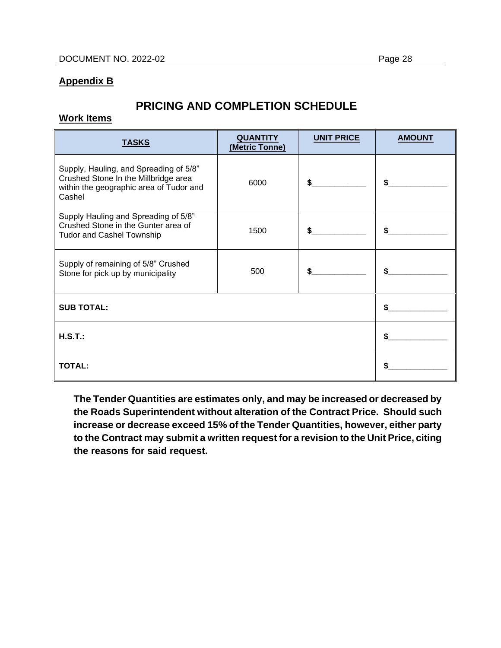#### **Appendix B**

# **PRICING AND COMPLETION SCHEDULE**

### **Work Items**

| <b>TASKS</b>                                                                                                                        | <b>QUANTITY</b><br>(Metric Tonne) | <b>UNIT PRICE</b> | <b>AMOUNT</b> |
|-------------------------------------------------------------------------------------------------------------------------------------|-----------------------------------|-------------------|---------------|
| Supply, Hauling, and Spreading of 5/8"<br>Crushed Stone In the Millbridge area<br>within the geographic area of Tudor and<br>Cashel | 6000                              | \$                | \$            |
| Supply Hauling and Spreading of 5/8"<br>Crushed Stone in the Gunter area of<br><b>Tudor and Cashel Township</b>                     | 1500                              | \$                | \$            |
| Supply of remaining of 5/8" Crushed<br>Stone for pick up by municipality                                                            | 500                               |                   |               |
| <b>SUB TOTAL:</b>                                                                                                                   | \$                                |                   |               |
| H.S.T.:                                                                                                                             |                                   |                   |               |
| <b>TOTAL:</b>                                                                                                                       |                                   |                   |               |

**The Tender Quantities are estimates only, and may be increased or decreased by the Roads Superintendent without alteration of the Contract Price. Should such increase or decrease exceed 15% of the Tender Quantities, however, either party to the Contract may submit a written request for a revision to the Unit Price, citing the reasons for said request.**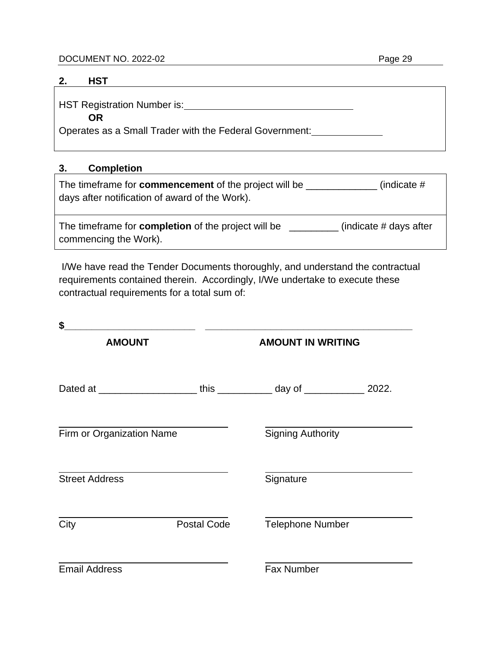#### DOCUMENT NO. 2022-02 **Page 29**

#### **2. HST**

HST Registration Number is: National Assembly and the control of the control of the control of the control of the control of the control of the control of the control of the control of the control of the control of the con

**OR**

Operates as a Small Trader with the Federal Government:

# **3. Completion**

| The timeframe for <b>commencement</b> of the project will be<br>days after notification of award of the Work). | (indicate $#$          |
|----------------------------------------------------------------------------------------------------------------|------------------------|
| The timeframe for <b>completion</b> of the project will be<br>commencing the Work).                            | (indicate # days after |

I/We have read the Tender Documents thoroughly, and understand the contractual requirements contained therein. Accordingly, I/We undertake to execute these contractual requirements for a total sum of:

| \$                                                                        |                    |                          |       |  |
|---------------------------------------------------------------------------|--------------------|--------------------------|-------|--|
| <b>AMOUNT</b>                                                             |                    | <b>AMOUNT IN WRITING</b> |       |  |
| Dated at ________________________ this ____________ day of ______________ |                    |                          | 2022. |  |
| Firm or Organization Name                                                 |                    | <b>Signing Authority</b> |       |  |
| <b>Street Address</b>                                                     |                    | Signature                |       |  |
| City                                                                      | <b>Postal Code</b> | <b>Telephone Number</b>  |       |  |
| <b>Email Address</b>                                                      |                    | <b>Fax Number</b>        |       |  |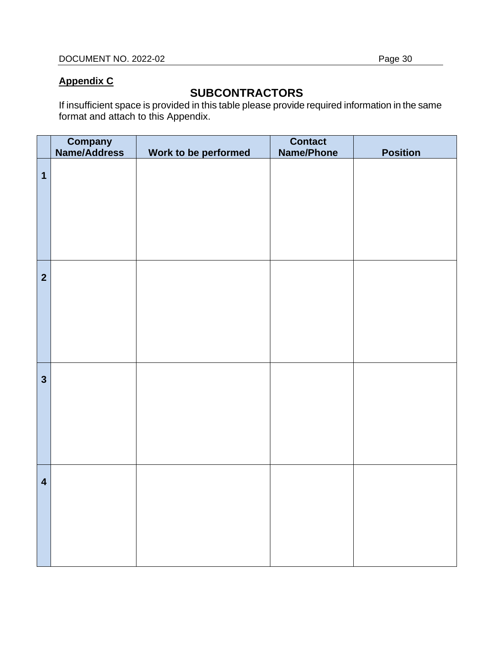# **Appendix C**

# **SUBCONTRACTORS**

If insufficient space is provided in this table please provide required information in the same format and attach to this Appendix.

|                         | <b>Company<br/>Name/Address</b> | Work to be performed | Contact<br><b>Name/Phone</b> | <b>Position</b> |
|-------------------------|---------------------------------|----------------------|------------------------------|-----------------|
|                         |                                 |                      |                              |                 |
| $\overline{\mathbf{1}}$ |                                 |                      |                              |                 |
|                         |                                 |                      |                              |                 |
|                         |                                 |                      |                              |                 |
|                         |                                 |                      |                              |                 |
|                         |                                 |                      |                              |                 |
| $\overline{2}$          |                                 |                      |                              |                 |
|                         |                                 |                      |                              |                 |
|                         |                                 |                      |                              |                 |
|                         |                                 |                      |                              |                 |
|                         |                                 |                      |                              |                 |
|                         |                                 |                      |                              |                 |
| $\mathbf{3}$            |                                 |                      |                              |                 |
|                         |                                 |                      |                              |                 |
|                         |                                 |                      |                              |                 |
|                         |                                 |                      |                              |                 |
|                         |                                 |                      |                              |                 |
|                         |                                 |                      |                              |                 |
| $\overline{\mathbf{4}}$ |                                 |                      |                              |                 |
|                         |                                 |                      |                              |                 |
|                         |                                 |                      |                              |                 |
|                         |                                 |                      |                              |                 |
|                         |                                 |                      |                              |                 |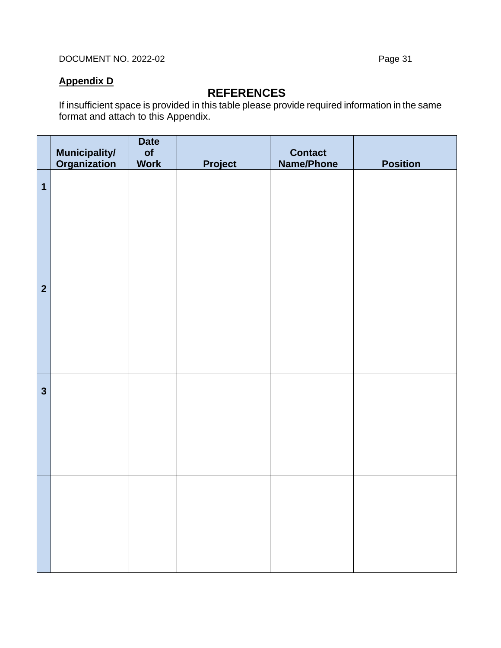### **Appendix D**

# **REFERENCES**

If insufficient space is provided in this table please provide required information in the same format and attach to this Appendix.

|                         | <b>Municipality/</b><br><b>Organization</b> | <b>Date</b><br>of<br><b>Work</b> | Project | <b>Contact</b><br><b>Name/Phone</b> | <b>Position</b> |
|-------------------------|---------------------------------------------|----------------------------------|---------|-------------------------------------|-----------------|
| $\overline{\mathbf{1}}$ |                                             |                                  |         |                                     |                 |
|                         |                                             |                                  |         |                                     |                 |
| $\overline{2}$          |                                             |                                  |         |                                     |                 |
|                         |                                             |                                  |         |                                     |                 |
| $\mathbf{3}$            |                                             |                                  |         |                                     |                 |
|                         |                                             |                                  |         |                                     |                 |
|                         |                                             |                                  |         |                                     |                 |
|                         |                                             |                                  |         |                                     |                 |
|                         |                                             |                                  |         |                                     |                 |